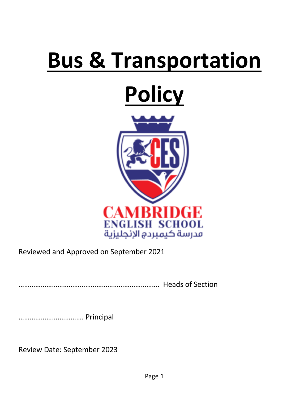# **Bus & Transportation**

## **Policy**



Reviewed and Approved on September 2021

…………………………………………………………………. Heads of Section

………………….…………. Principal

Review Date: September 2023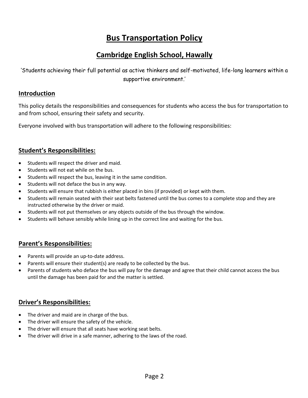## **Bus Transportation Policy**

## **Cambridge English School, Hawally**

'Students achieving their full potential as active thinkers and self-motivated, life-long learners within a supportive environment.'

#### **Introduction**

This policy details the responsibilities and consequences for students who access the bus for transportation to and from school, ensuring their safety and security.

Everyone involved with bus transportation will adhere to the following responsibilities:

#### **Student's Responsibilities:**

- Students will respect the driver and maid.
- Students will not eat while on the bus.
- Students will respect the bus, leaving it in the same condition.
- Students will not deface the bus in any way.
- Students will ensure that rubbish is either placed in bins (if provided) or kept with them.
- Students will remain seated with their seat belts fastened until the bus comes to a complete stop and they are instructed otherwise by the driver or maid.
- Students will not put themselves or any objects outside of the bus through the window.
- Students will behave sensibly while lining up in the correct line and waiting for the bus.

#### **Parent's Responsibilities:**

- Parents will provide an up-to-date address.
- Parents will ensure their student(s) are ready to be collected by the bus.
- Parents of students who deface the bus will pay for the damage and agree that their child cannot access the bus until the damage has been paid for and the matter is settled.

#### **Driver's Responsibilities:**

- The driver and maid are in charge of the bus.
- The driver will ensure the safety of the vehicle.
- The driver will ensure that all seats have working seat belts.
- The driver will drive in a safe manner, adhering to the laws of the road.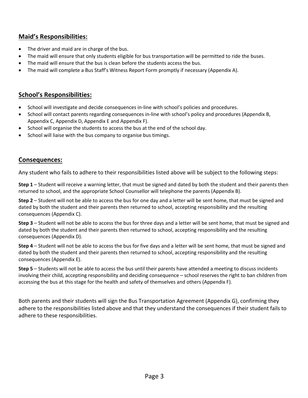#### **Maid's Responsibilities:**

- The driver and maid are in charge of the bus.
- The maid will ensure that only students eligible for bus transportation will be permitted to ride the buses.
- The maid will ensure that the bus is clean before the students access the bus.
- The maid will complete a Bus Staff's Witness Report Form promptly if necessary (Appendix A).

#### **School's Responsibilities:**

- School will investigate and decide consequences in-line with school's policies and procedures.
- School will contact parents regarding consequences in-line with school's policy and procedures (Appendix B, Appendix C, Appendix D, Appendix E and Appendix F).
- School will organise the students to access the bus at the end of the school day.
- School will liaise with the bus company to organise bus timings.

#### **Consequences:**

Any student who fails to adhere to their responsibilities listed above will be subject to the following steps:

**Step 1** – Student will receive a warning letter, that must be signed and dated by both the student and their parents then returned to school, and the appropriate School Counsellor will telephone the parents (Appendix B).

**Step 2** – Student will not be able to access the bus for one day and a letter will be sent home, that must be signed and dated by both the student and their parents then returned to school, accepting responsibility and the resulting consequences (Appendix C).

**Step 3** – Student will not be able to access the bus for three days and a letter will be sent home, that must be signed and dated by both the student and their parents then returned to school, accepting responsibility and the resulting consequences (Appendix D).

**Step 4** – Student will not be able to access the bus for five days and a letter will be sent home, that must be signed and dated by both the student and their parents then returned to school, accepting responsibility and the resulting consequences (Appendix E).

**Step 5** – Students will not be able to access the bus until their parents have attended a meeting to discuss incidents involving their child, accepting responsibility and deciding consequence – school reserves the right to ban children from accessing the bus at this stage for the health and safety of themselves and others (Appendix F).

Both parents and their students will sign the Bus Transportation Agreement (Appendix G), confirming they adhere to the responsibilities listed above and that they understand the consequences if their student fails to adhere to these responsibilities.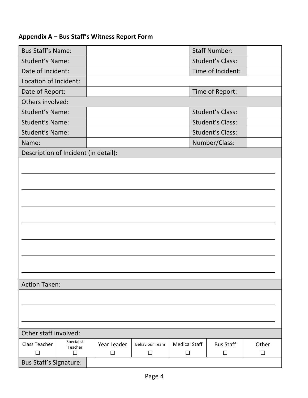## **Appendix A – Bus Staff's Witness Report Form**

| <b>Bus Staff's Name:</b>             |                       |             |                       |                      | <b>Staff Number:</b>    |        |
|--------------------------------------|-----------------------|-------------|-----------------------|----------------------|-------------------------|--------|
| <b>Student's Name:</b>               |                       |             |                       |                      | <b>Student's Class:</b> |        |
| Date of Incident:                    |                       |             |                       |                      | Time of Incident:       |        |
| Location of Incident:                |                       |             |                       |                      |                         |        |
| Date of Report:                      |                       |             |                       |                      | Time of Report:         |        |
| Others involved:                     |                       |             |                       |                      |                         |        |
| <b>Student's Name:</b>               |                       |             |                       |                      | <b>Student's Class:</b> |        |
| <b>Student's Name:</b>               |                       |             |                       |                      | <b>Student's Class:</b> |        |
| <b>Student's Name:</b>               |                       |             |                       |                      | <b>Student's Class:</b> |        |
| Name:                                |                       |             |                       |                      | Number/Class:           |        |
| Description of Incident (in detail): |                       |             |                       |                      |                         |        |
|                                      |                       |             |                       |                      |                         |        |
|                                      |                       |             |                       |                      |                         |        |
|                                      |                       |             |                       |                      |                         |        |
|                                      |                       |             |                       |                      |                         |        |
|                                      |                       |             |                       |                      |                         |        |
|                                      |                       |             |                       |                      |                         |        |
|                                      |                       |             |                       |                      |                         |        |
|                                      |                       |             |                       |                      |                         |        |
|                                      |                       |             |                       |                      |                         |        |
|                                      |                       |             |                       |                      |                         |        |
|                                      |                       |             |                       |                      |                         |        |
|                                      |                       |             |                       |                      |                         |        |
| <b>Action Taken:</b>                 |                       |             |                       |                      |                         |        |
|                                      |                       |             |                       |                      |                         |        |
|                                      |                       |             |                       |                      |                         |        |
|                                      |                       |             |                       |                      |                         |        |
|                                      |                       |             |                       |                      |                         |        |
| Other staff involved:                |                       |             |                       |                      |                         |        |
| <b>Class Teacher</b>                 | Specialist<br>Teacher | Year Leader | <b>Behaviour Team</b> | <b>Medical Staff</b> | <b>Bus Staff</b>        | Other  |
| $\Box$                               | □                     | $\Box$      | $\Box$                | $\Box$               | $\Box$                  | $\Box$ |
| <b>Bus Staff's Signature:</b>        |                       |             |                       |                      |                         |        |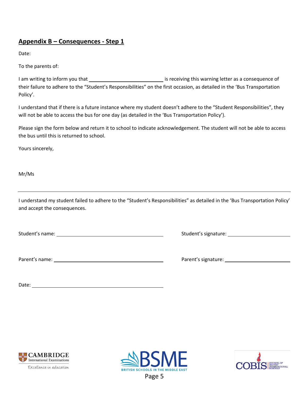#### **Appendix B – Consequences - Step 1**

Date:

To the parents of:

I am writing to inform you that **interest and interest and interest is receiving this warning letter as a consequence of** their failure to adhere to the "Student's Responsibilities" on the first occasion, as detailed in the 'Bus Transportation Policy'.

I understand that if there is a future instance where my student doesn't adhere to the "Student Responsibilities", they will not be able to access the bus for one day (as detailed in the 'Bus Transportation Policy').

Please sign the form below and return it to school to indicate acknowledgement. The student will not be able to access the bus until this is returned to school.

Yours sincerely,

Mr/Ms

I understand my student failed to adhere to the "Student's Responsibilities" as detailed in the 'Bus Transportation Policy' and accept the consequences.

Student's name: Student's signature:

Parent's name: Parent's signature:

| Parent's signature: |  |
|---------------------|--|
|                     |  |

Date:





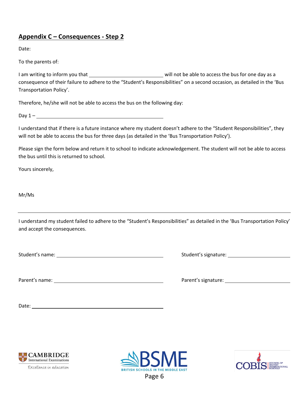#### **Appendix C – Consequences - Step 2**

Date:

To the parents of:

I am writing to inform you that will not be able to access the bus for one day as a consequence of their failure to adhere to the "Student's Responsibilities" on a second occasion, as detailed in the 'Bus Transportation Policy'.

Therefore, he/she will not be able to access the bus on the following day:

 $\Delta$ Day 1 –

I understand that if there is a future instance where my student doesn't adhere to the "Student Responsibilities", they will not be able to access the bus for three days (as detailed in the 'Bus Transportation Policy').

Please sign the form below and return it to school to indicate acknowledgement. The student will not be able to access the bus until this is returned to school.

Yours sincerely,

Mr/Ms

I understand my student failed to adhere to the "Student's Responsibilities" as detailed in the 'Bus Transportation Policy' and accept the consequences.

Student's name: Student's signature:

Parent's name: Parent's signature:

Date: <u>www.community.community.community.com</u>





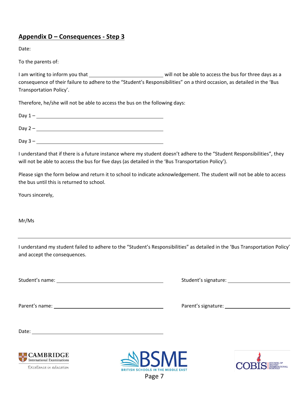#### **Appendix D – Consequences - Step 3**

Date:

To the parents of:

I am writing to inform you that will not be able to access the bus for three days as a consequence of their failure to adhere to the "Student's Responsibilities" on a third occasion, as detailed in the 'Bus Transportation Policy'.

Therefore, he/she will not be able to access the bus on the following days:

| Day $1 -$ |  |  |  |
|-----------|--|--|--|
| Day $2 -$ |  |  |  |

 $Day 3 -$ 

I understand that if there is a future instance where my student doesn't adhere to the "Student Responsibilities", they will not be able to access the bus for five days (as detailed in the 'Bus Transportation Policy').

Please sign the form below and return it to school to indicate acknowledgement. The student will not be able to access the bus until this is returned to school.

Yours sincerely,

Mr/Ms

I understand my student failed to adhere to the "Student's Responsibilities" as detailed in the 'Bus Transportation Policy' and accept the consequences.

Student's name: Student's signature:

Parent's name: Notified the state of the state of the parent's signature: Note that the state of the state of the state of the state of the state of the state of the state of the state of the state of the state of the stat

Date: when the contract of the contract of the contract of the contract of the contract of the contract of the contract of the contract of the contract of the contract of the contract of the contract of the contract of the



Excellence in education



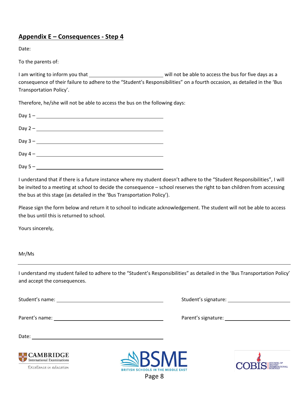#### **Appendix E – Consequences - Step 4**

Date:

To the parents of:

I am writing to inform you that will not be able to access the bus for five days as a consequence of their failure to adhere to the "Student's Responsibilities" on a fourth occasion, as detailed in the 'Bus Transportation Policy'.

Therefore, he/she will not be able to access the bus on the following days:

| Day $5 -$ |
|-----------|

I understand that if there is a future instance where my student doesn't adhere to the "Student Responsibilities", I will be invited to a meeting at school to decide the consequence – school reserves the right to ban children from accessing the bus at this stage (as detailed in the 'Bus Transportation Policy').

Please sign the form below and return it to school to indicate acknowledgement. The student will not be able to access the bus until this is returned to school.

Yours sincerely,

#### Mr/Ms

I understand my student failed to adhere to the "Student's Responsibilities" as detailed in the 'Bus Transportation Policy' and accept the consequences.

Student's name: Student's signature:

Parent's name: Parent's signature:

Date:



Excellence in education



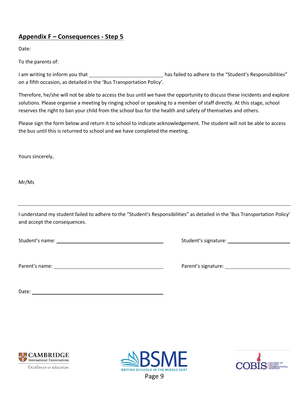#### **Appendix F – Consequences - Step 5**

Date:

To the parents of:

I am writing to inform you that \_\_\_\_\_\_\_\_\_\_\_\_\_\_\_\_\_\_\_\_\_\_\_\_\_\_\_\_\_has failed to adhere to the "Student's Responsibilities" on a fifth occasion, as detailed in the 'Bus Transportation Policy'.

Therefore, he/she will not be able to access the bus until we have the opportunity to discuss these incidents and explore solutions. Please organise a meeting by ringing school or speaking to a member of staff directly. At this stage, school reserves the right to ban your child from the school bus for the health and safety of themselves and others.

Please sign the form below and return it to school to indicate acknowledgement. The student will not be able to access the bus until this is returned to school and we have completed the meeting.

Yours sincerely,

Mr/Ms

I understand my student failed to adhere to the "Student's Responsibilities" as detailed in the 'Bus Transportation Policy' and accept the consequences.

Student's name: Notified the Student's signature: Notified the Student's signature: Notified the Student's signature:

Parent's name: **Parent's name:** Parent's signature:

| Parent's signature: |  |
|---------------------|--|
|                     |  |

Date: